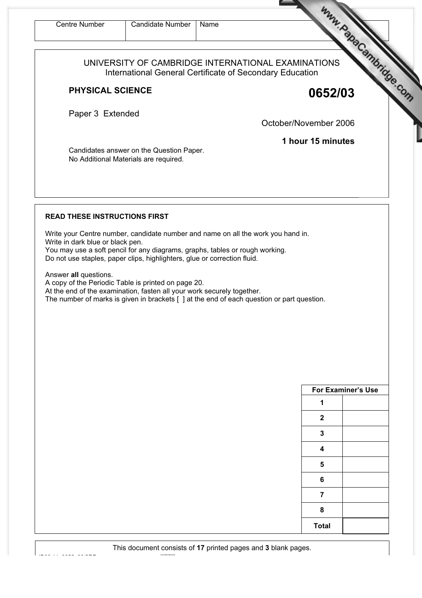| UNIVERSITY OF CAMBRIDGE INTERNATIONAL EXAMINATIONS<br>International General Certificate of Secondary Education<br><b>PHYSICAL SCIENCE</b><br>0652/03<br>Paper 3 Extended<br>October/November 2006<br>1 hour 15 minutes<br>Candidates answer on the Question Paper.<br>No Additional Materials are required. | Centre Number | Candidate Number | Name |
|-------------------------------------------------------------------------------------------------------------------------------------------------------------------------------------------------------------------------------------------------------------------------------------------------------------|---------------|------------------|------|
|                                                                                                                                                                                                                                                                                                             |               |                  |      |
|                                                                                                                                                                                                                                                                                                             |               |                  |      |
|                                                                                                                                                                                                                                                                                                             |               |                  |      |
|                                                                                                                                                                                                                                                                                                             |               |                  |      |

## READ THESE INSTRUCTIONS FIRST

 Write your Centre number, candidate number and name on all the work you hand in. Write in dark blue or black pen. You may use a soft pencil for any diagrams, graphs, tables or rough working.

Do not use staples, paper clips, highlighters, glue or correction fluid.

Answer all questions.

A copy of the Periodic Table is printed on page 20.

At the end of the examination, fasten all your work securely together.

The number of marks is given in brackets [ ] at the end of each question or part question.

|              | <b>For Examiner's Use</b> |
|--------------|---------------------------|
| 1            |                           |
| $\mathbf 2$  |                           |
| 3            |                           |
| 4            |                           |
| 5            |                           |
| 6            |                           |
| 7            |                           |
| 8            |                           |
| <b>Total</b> |                           |
|              |                           |

4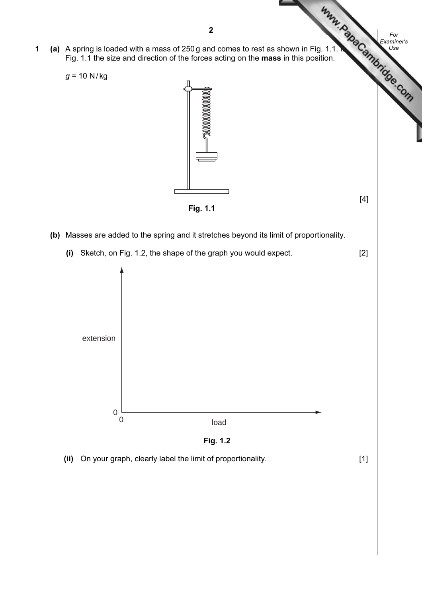2 Examiner's 1 (a) A spring is loaded with a mass of 250g and comes to rest as shown in Fig. 1.1. Fig. 1.1 the size and direction of the forces acting on the mass in this position.  $g = 10$  N/kg

Fig. 1.1

(b) Masses are added to the spring and it stretches beyond its limit of proportionality.

For

[4]

 (i) Sketch, on Fig. 1.2, the shape of the graph you would expect. [2] load extension 0 0 Fig. 1.2

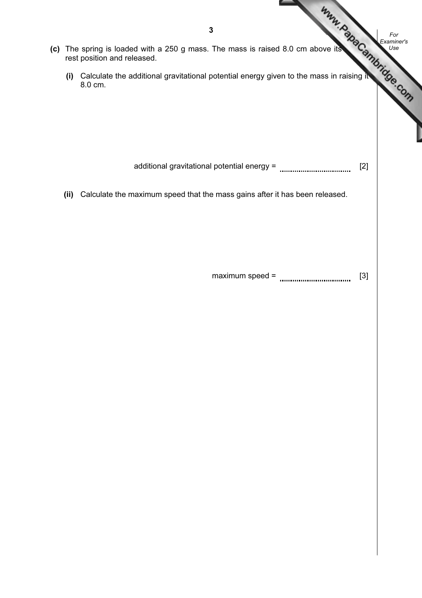- (c) The spring is loaded with a 250 g mass. The mass is raised 8.0 cm above its rest position and released.
	- (i) Calculate the additional gravitational potential energy given to the mass in raising it 8.0 cm.

additional gravitational potential energy = [2]

(ii) Calculate the maximum speed that the mass gains after it has been released.

maximum speed =  $\frac{1}{2}$  [3]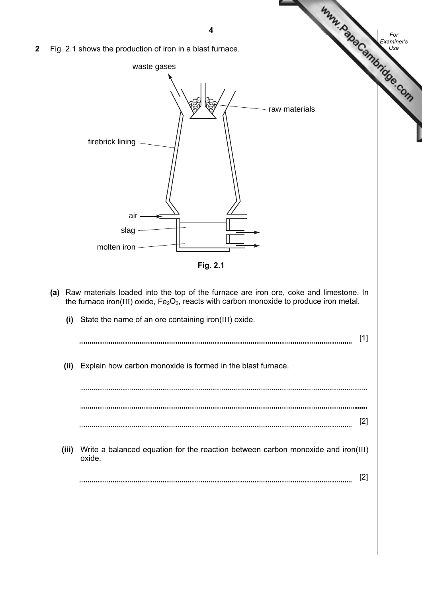- 4 For Examiner's 2 Fig. 2.1 shows the production of iron in a blast furnace. waste gases ra[w materials](http://www.studentbounty.com/) firebrick lining air slag molten iron -Fig. 2.1 (a) Raw materials loaded into the top of the furnace are iron ore, coke and limestone. In the furnace iron(III) oxide,  $Fe<sub>2</sub>O<sub>3</sub>$ , reacts with carbon monoxide to produce iron metal. (i) State the name of an ore containing iron(III) oxide. [1] (ii) Explain how carbon monoxide is formed in the blast furnace. [2]
	- (iii) Write a balanced equation for the reaction between carbon monoxide and iron(III) oxide.

[2]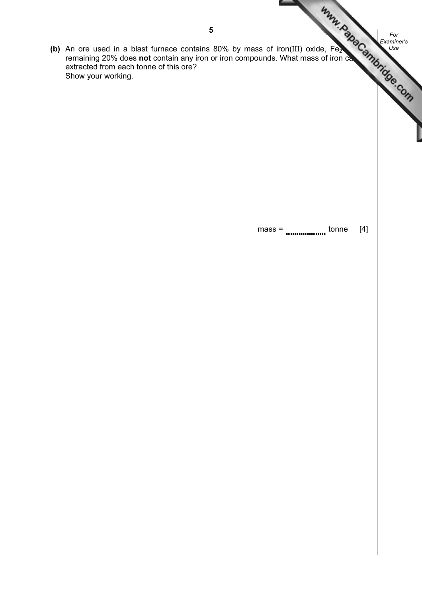(b) An ore used in a blast furnace contains 80% by mass of iron(III) oxide, Fe<sub>2</sub>  $\bigcirc$ <sub>2</sub>  $\bigcirc$ <sub>2</sub> remaining 20% does not contain any iron or iron compounds. What mass of iron can be extracted from each tonne of this ore? Show your working.

 $mass = 1$  tonne [4]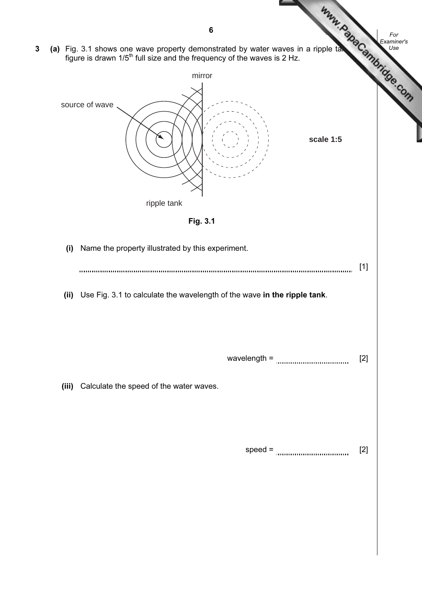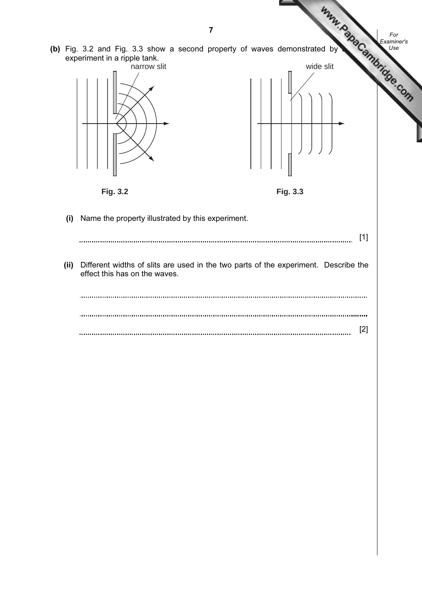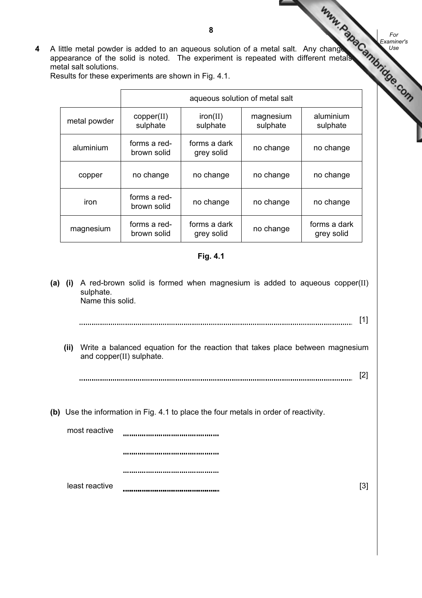4 A little metal powder is added to an aqueous solution of a metal salt. Any change appearance of the solid is noted. The experiment is repeated with different metals metal salt solutions.

Results for these experiments are shown in Fig. 4.1.

|              |                             |                            | aqueous solution of metal salt |                            |
|--------------|-----------------------------|----------------------------|--------------------------------|----------------------------|
| metal powder | copper(II)<br>sulphate      | iron(II)<br>sulphate       | magnesium<br>sulphate          | aluminium<br>sulphate      |
| aluminium    | forms a red-<br>brown solid | forms a dark<br>grey solid | no change                      | no change                  |
| copper       | no change                   | no change                  | no change                      | no change                  |
| iron         | forms a red-<br>brown solid | no change                  | no change                      | no change                  |
| magnesium    | forms a red-<br>brown solid | forms a dark<br>grey solid | no change                      | forms a dark<br>grey solid |



(a) (i) A red-brown solid is formed when magnesium is added to aqueous copper(II) sulphate. Name this solid.

[1] 

(ii) Write a balanced equation for the reaction that takes place between magnesium and copper(II) sulphate.

[2]

(b) Use the information in Fig. 4.1 to place the four metals in order of reactivity.

| most reactive  |                                        |     |
|----------------|----------------------------------------|-----|
|                |                                        |     |
|                |                                        |     |
| least reactive | -------------------------------------- | [3] |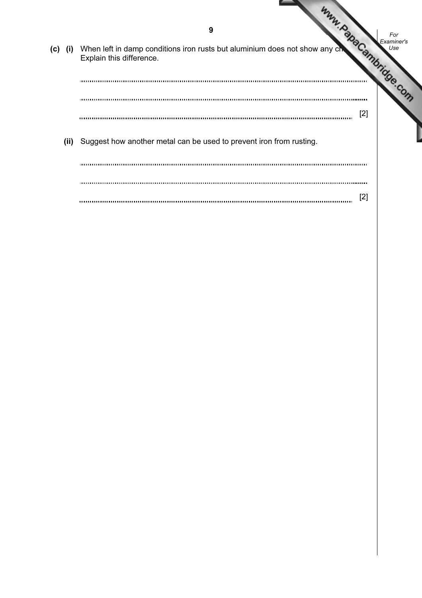|  | <b>WW. PapaC.</b><br>9                                                                                          | For                            |
|--|-----------------------------------------------------------------------------------------------------------------|--------------------------------|
|  | (c) (i) When left in damp conditions iron rusts but aluminium does not show any che<br>Explain this difference. | Examiner's<br>Use<br>mbridge.c |
|  |                                                                                                                 |                                |
|  | $[2]$<br>,,,,,,,,,,,,,                                                                                          |                                |
|  | (ii) Suggest how another metal can be used to prevent iron from rusting.                                        |                                |
|  | <br>[2]                                                                                                         |                                |
|  |                                                                                                                 |                                |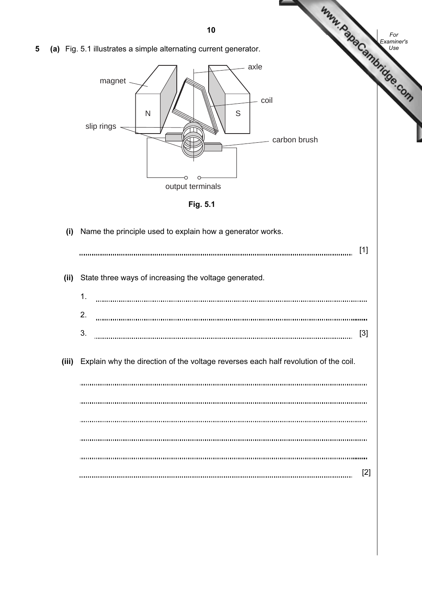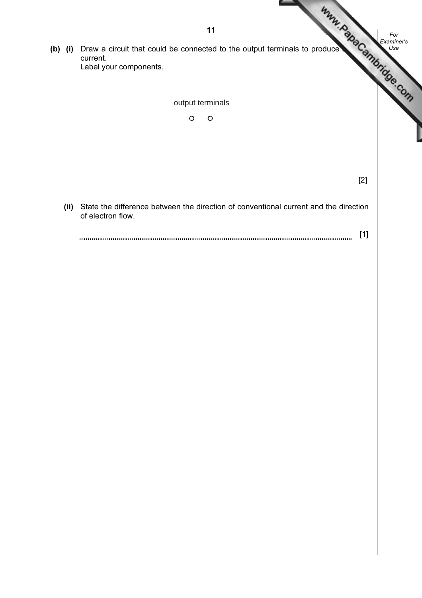For Examiner's (b) (i) Draw a circuit that could be connected to the output terminals to produce current. Label your components.

output terminals

 $\circ$  $\circ$ 

(ii) State the difference between the direction of conventional current and the direction of electron flow.

[1]

[2]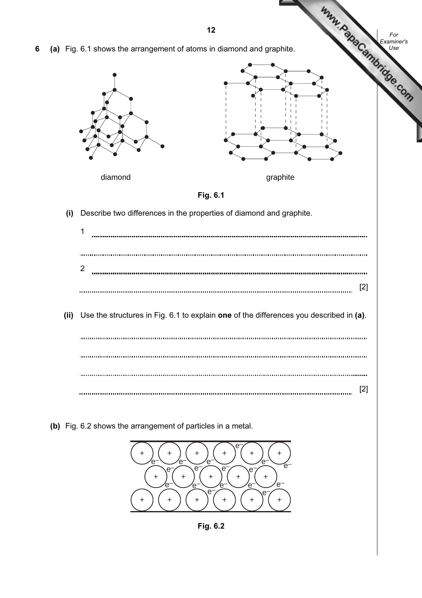

(b) Fig. 6.2 shows the arrangement of particles in a metal.



Fig. 6.2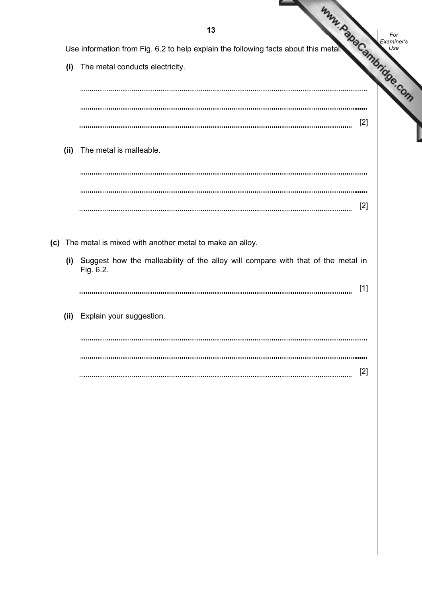|     |      | Www.PapaCambridge.com<br>13                                                                   |  |
|-----|------|-----------------------------------------------------------------------------------------------|--|
|     |      | Use information from Fig. 6.2 to help explain the following facts about this metal.           |  |
|     | (i)  | The metal conducts electricity.                                                               |  |
|     |      |                                                                                               |  |
|     |      | [2]                                                                                           |  |
|     | (ii) | The metal is malleable.                                                                       |  |
|     |      |                                                                                               |  |
|     |      |                                                                                               |  |
|     |      | $[2]$                                                                                         |  |
| (c) |      | The metal is mixed with another metal to make an alloy.                                       |  |
|     | (i)  | Suggest how the malleability of the alloy will compare with that of the metal in<br>Fig. 6.2. |  |
|     |      | $[1]$                                                                                         |  |
|     | (ii) | Explain your suggestion.                                                                      |  |
|     |      |                                                                                               |  |
|     |      |                                                                                               |  |
|     |      | $\lceil 2 \rceil$                                                                             |  |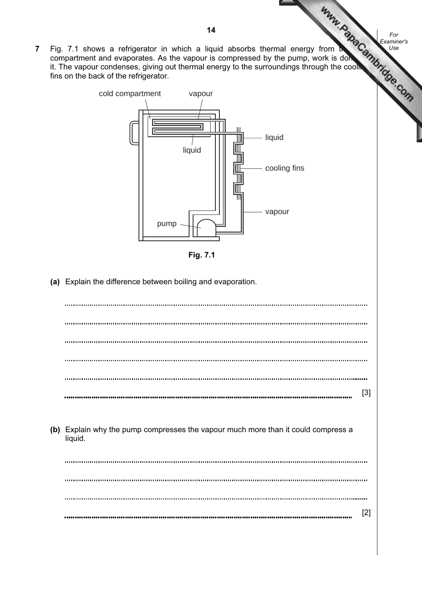7 Fig. 7.1 shows a refrigerator in which a liquid absorbs thermal energy from  $\mathfrak h$ compartment and evaporates. As the vapour is compressed by the pump, work is done it. The vapour condenses, giving out thermal energy to the surroundings through the cooling fins on the back of the refrigerator.



Fig. 7.1

(a) Explain the difference between boiling and evaporation.

. . . . . . . . . . . . [3] (b) Explain why the pump compresses the vapour much more than it could compress a liquid. [2]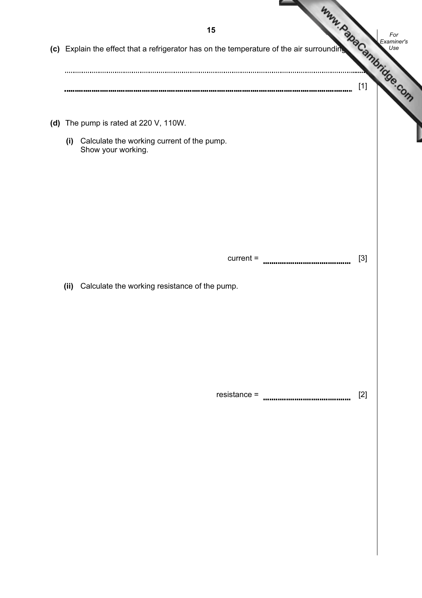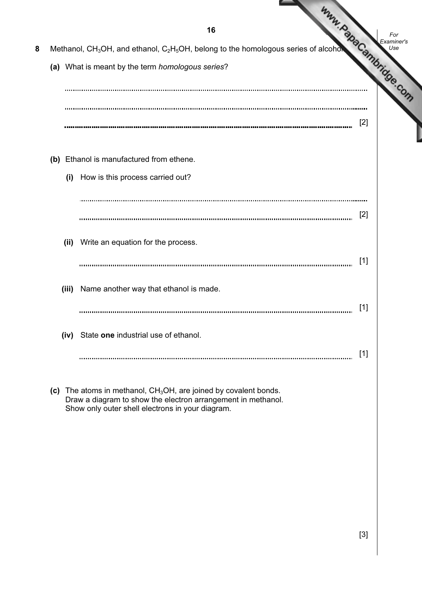|      | Methanol, CH <sub>3</sub> OH, and ethanol, C <sub>2</sub> H <sub>5</sub> OH, belong to the homologous series of alcohol |       |
|------|-------------------------------------------------------------------------------------------------------------------------|-------|
|      |                                                                                                                         |       |
|      | (a) What is meant by the term homologous series?                                                                        |       |
|      | Www.PapaCambridge.com                                                                                                   |       |
|      |                                                                                                                         |       |
|      |                                                                                                                         | $[2]$ |
|      | (b) Ethanol is manufactured from ethene.                                                                                |       |
| (i)  | How is this process carried out?                                                                                        |       |
|      |                                                                                                                         |       |
|      |                                                                                                                         | $[2]$ |
|      |                                                                                                                         |       |
| (ii) | Write an equation for the process.                                                                                      |       |
|      |                                                                                                                         | $[1]$ |
|      | (iii) Name another way that ethanol is made.                                                                            |       |
|      |                                                                                                                         | $[1]$ |
|      |                                                                                                                         |       |
|      | (iv) State one industrial use of ethanol.                                                                               |       |
|      |                                                                                                                         | $[1]$ |

Show only outer shell electrons in your diagram.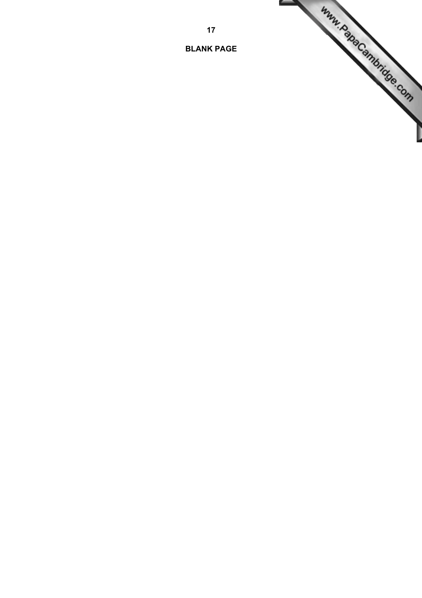

BLANK PAGE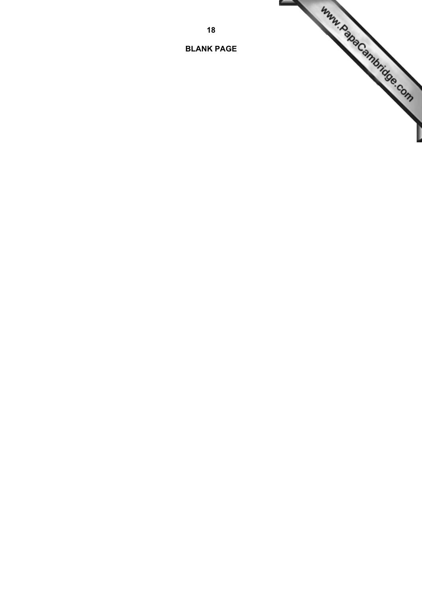

BLANK PAGE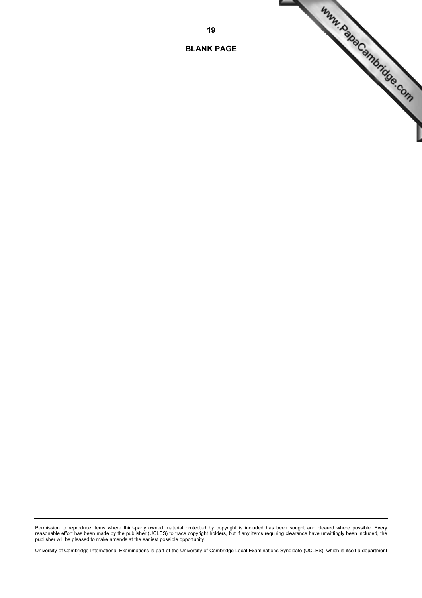

BLANK PAGE

Permission to reproduce items where third-party owned material protected by copyright is included has been sought and cleared where possible. Every reasonable effort has been made by the publisher (UCLES) to trace copyright holders, but if any items requiring clearance have unwittingly been included, the publisher will be pleased to make amends at the earliest possible opportunity.

University of Cambridge International Examinations is part of the University of Cambridge Local Examinations Syndicate (UCLES), which is itself a department

of the University of Cambridge.